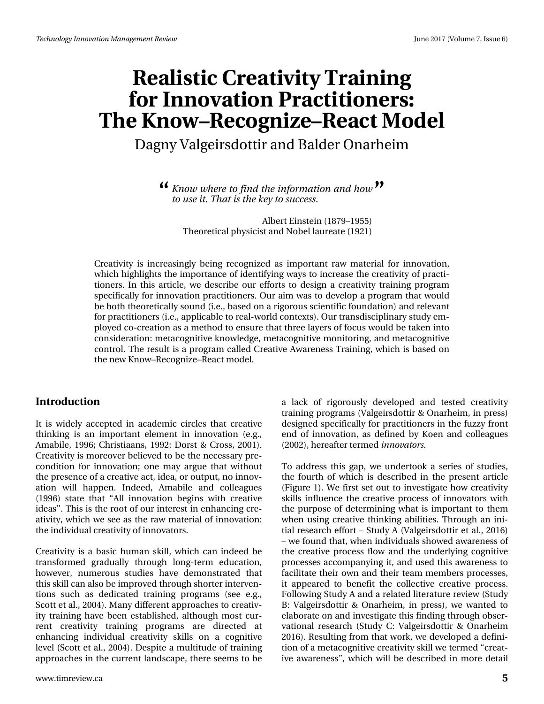Dagny Valgeirsdottir and Balder Onarheim

*Know where to find the information and how* **" "***to use it. That is the key to success.*

> Albert Einstein (1879–1955) Theoretical physicist and Nobel laureate (1921)

Creativity is increasingly being recognized as important raw material for innovation, which highlights the importance of identifying ways to increase the creativity of practitioners. In this article, we describe our efforts to design a creativity training program specifically for innovation practitioners. Our aim was to develop a program that would be both theoretically sound (i.e., based on a rigorous scientific foundation) and relevant for practitioners (i.e., applicable to real-world contexts). Our transdisciplinary study employed co-creation as a method to ensure that three layers of focus would be taken into consideration: metacognitive knowledge, metacognitive monitoring, and metacognitive control. The result is a program called Creative Awareness Training, which is based on the new Know–Recognize–React model.

#### **Introduction**

It is widely accepted in academic circles that creative thinking is an important element in innovation (e.g., Amabile, 1996; Christiaans, 1992; Dorst & Cross, 2001). Creativity is moreover believed to be the necessary precondition for innovation; one may argue that without the presence of a creative act, idea, or output, no innovation will happen. Indeed, Amabile and colleagues (1996) state that "All innovation begins with creative ideas". This is the root of our interest in enhancing creativity, which we see as the raw material of innovation: the individual creativity of innovators.

Creativity is a basic human skill, which can indeed be transformed gradually through long-term education, however, numerous studies have demonstrated that this skill can also be improved through shorter interventions such as dedicated training programs (see e.g., Scott et al., 2004). Many different approaches to creativity training have been established, although most current creativity training programs are directed at enhancing individual creativity skills on a cognitive level (Scott et al., 2004). Despite a multitude of training approaches in the current landscape, there seems to be

www.timreview.ca **5**

a lack of rigorously developed and tested creativity training programs (Valgeirsdottir & Onarheim, in press) designed specifically for practitioners in the fuzzy front end of innovation, as defined by Koen and colleagues (2002), hereafter termed *innovators.*

To address this gap, we undertook a series of studies, the fourth of which is described in the present article (Figure 1). We first set out to investigate how creativity skills influence the creative process of innovators with the purpose of determining what is important to them when using creative thinking abilities. Through an initial research effort – Study A (Valgeirsdottir et al., 2016) – we found that, when individuals showed awareness of the creative process flow and the underlying cognitive processes accompanying it, and used this awareness to facilitate their own and their team members processes, it appeared to benefit the collective creative process. Following Study A and a related literature review (Study B: Valgeirsdottir & Onarheim, in press), we wanted to elaborate on and investigate this finding through observational research (Study C: Valgeirsdottir & Onarheim 2016). Resulting from that work, we developed a definition of a metacognitive creativity skill we termed "creative awareness", which will be described in more detail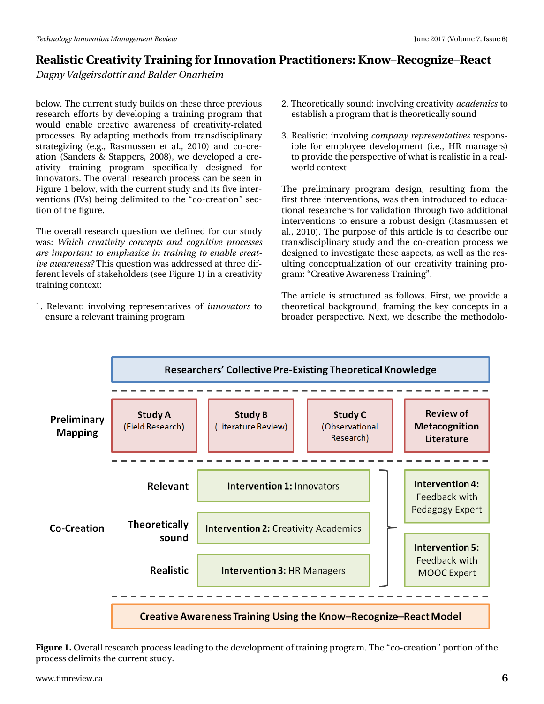*Dagny Valgeirsdottir and Balder Onarheim*

below. The current study builds on these three previous research efforts by developing a training program that would enable creative awareness of creativity-related processes. By adapting methods from transdisciplinary strategizing (e.g., Rasmussen et al., 2010) and co-creation (Sanders & Stappers, 2008), we developed a creativity training program specifically designed for innovators. The overall research process can be seen in Figure 1 below, with the current study and its five interventions (IVs) being delimited to the "co-creation" section of the figure.

The overall research question we defined for our study was: *Which creativity concepts and cognitive processes are important to emphasize in training to enable creative awareness?* This question was addressed at three different levels of stakeholders (see Figure 1) in a creativity training context:

1. Relevant: involving representatives of *innovators* to ensure a relevant training program

- 2. Theoretically sound: involving creativity *academics* to establish a program that is theoretically sound
- 3. Realistic: involving *company representatives* responsible for employee development (i.e., HR managers) to provide the perspective of what is realistic in a realworld context

The preliminary program design, resulting from the first three interventions, was then introduced to educational researchers for validation through two additional interventions to ensure a robust design (Rasmussen et al., 2010). The purpose of this article is to describe our transdisciplinary study and the co-creation process we designed to investigate these aspects, as well as the resulting conceptualization of our creativity training program: "Creative Awareness Training".

The article is structured as follows. First, we provide a theoretical background, framing the key concepts in a broader perspective. Next, we describe the methodolo-



**Figure 1.** Overall research process leading to the development of training program. The "co-creation" portion of the process delimits the current study.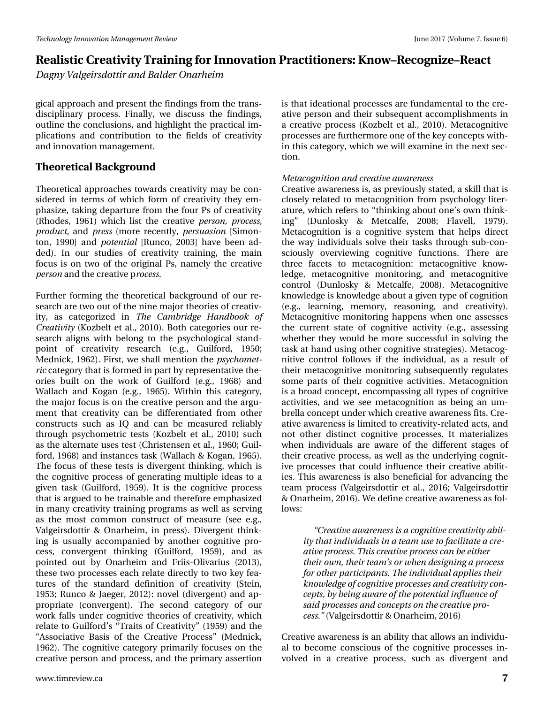*Dagny Valgeirsdottir and Balder Onarheim*

gical approach and present the findings from the transdisciplinary process. Finally, we discuss the findings, outline the conclusions, and highlight the practical implications and contribution to the fields of creativity and innovation management.

### **Theoretical Background**

Theoretical approaches towards creativity may be considered in terms of which form of creativity they emphasize, taking departure from the four Ps of creativity (Rhodes, 1961) which list the creative *person, process, product,* and *press* (more recently, *persuasion* [Simonton, 1990] and *potential* [Runco, 2003] have been added). In our studies of creativity training, the main focus is on two of the original Ps, namely the creative *person* and the creative p*rocess.*

Further forming the theoretical background of our research are two out of the nine major theories of creativity, as categorized in *The Cambridge Handbook of Creativity* (Kozbelt et al., 2010). Both categories our research aligns with belong to the psychological standpoint of creativity research (e.g., Guilford, 1950; Mednick, 1962). First, we shall mention the *psychometric* category that is formed in part by representative theories built on the work of Guilford (e.g., 1968) and Wallach and Kogan (e.g., 1965). Within this category, the major focus is on the creative person and the argument that creativity can be differentiated from other constructs such as IQ and can be measured reliably through psychometric tests (Kozbelt et al., 2010) such as the alternate uses test (Christensen et al., 1960; Guilford, 1968) and instances task (Wallach & Kogan, 1965). The focus of these tests is divergent thinking, which is the cognitive process of generating multiple ideas to a given task (Guilford, 1959). It is the cognitive process that is argued to be trainable and therefore emphasized in many creativity training programs as well as serving as the most common construct of measure (see e.g., Valgeirsdottir & Onarheim, in press). Divergent thinking is usually accompanied by another cognitive process, convergent thinking (Guilford, 1959), and as pointed out by Onarheim and Friis-Olivarius (2013), these two processes each relate directly to two key features of the standard definition of creativity (Stein, 1953; Runco & Jaeger, 2012): novel (divergent) and appropriate (convergent). The second category of our work falls under cognitive theories of creativity, which relate to Guilford's "Traits of Creativity" (1959) and the "Associative Basis of the Creative Process" (Mednick, 1962). The cognitive category primarily focuses on the creative person and process, and the primary assertion

is that ideational processes are fundamental to the creative person and their subsequent accomplishments in a creative process (Kozbelt et al., 2010). Metacognitive processes are furthermore one of the key concepts within this category, which we will examine in the next section.

#### *Metacognition and creative awareness*

Creative awareness is, as previously stated, a skill that is closely related to metacognition from psychology literature, which refers to "thinking about one's own thinking" (Dunlosky & Metcalfe, 2008; Flavell, 1979). Metacognition is a cognitive system that helps direct the way individuals solve their tasks through sub-consciously overviewing cognitive functions. There are three facets to metacognition: metacognitive knowledge, metacognitive monitoring, and metacognitive control (Dunlosky & Metcalfe, 2008). Metacognitive knowledge is knowledge about a given type of cognition (e.g., learning, memory, reasoning, and creativity). Metacognitive monitoring happens when one assesses the current state of cognitive activity (e.g., assessing whether they would be more successful in solving the task at hand using other cognitive strategies). Metacognitive control follows if the individual, as a result of their metacognitive monitoring subsequently regulates some parts of their cognitive activities. Metacognition is a broad concept, encompassing all types of cognitive activities, and we see metacognition as being an umbrella concept under which creative awareness fits. Creative awareness is limited to creativity-related acts, and not other distinct cognitive processes. It materializes when individuals are aware of the different stages of their creative process, as well as the underlying cognitive processes that could influence their creative abilities. This awareness is also beneficial for advancing the team process (Valgeirsdottir et al., 2016; Valgeirsdottir & Onarheim, 2016). We define creative awareness as follows:

*"Creative awareness is a cognitive creativity ability that individuals in a team use to facilitate a creative process. This creative process can be either their own, their team's or when designing a process for other participants. The individual applies their knowledge of cognitive processes and creativity concepts, by being aware of the potential influence of said processes and concepts on the creative process."* (Valgeirsdottir & Onarheim, 2016)

Creative awareness is an ability that allows an individual to become conscious of the cognitive processes involved in a creative process, such as divergent and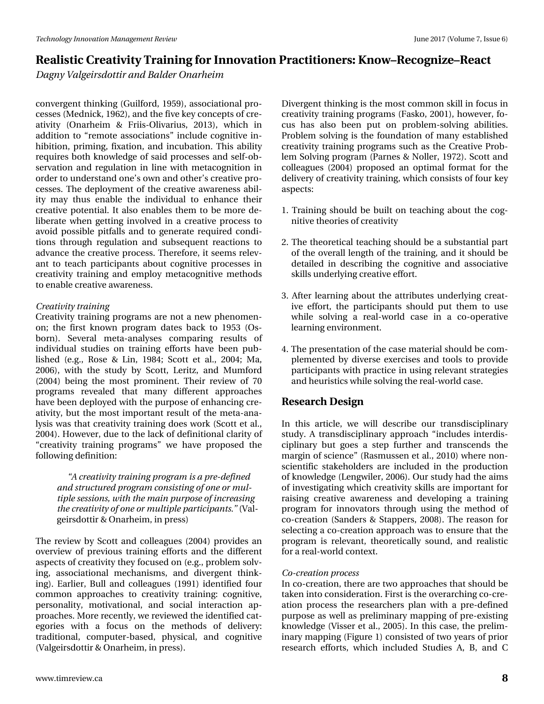*Dagny Valgeirsdottir and Balder Onarheim*

convergent thinking (Guilford, 1959), associational processes (Mednick, 1962), and the five key concepts of creativity (Onarheim & Friis-Olivarius, 2013), which in addition to "remote associations" include cognitive inhibition, priming, fixation, and incubation. This ability requires both knowledge of said processes and self-observation and regulation in line with metacognition in order to understand one's own and other's creative processes. The deployment of the creative awareness ability may thus enable the individual to enhance their creative potential. It also enables them to be more deliberate when getting involved in a creative process to avoid possible pitfalls and to generate required conditions through regulation and subsequent reactions to advance the creative process. Therefore, it seems relevant to teach participants about cognitive processes in creativity training and employ metacognitive methods to enable creative awareness.

#### *Creativity training*

Creativity training programs are not a new phenomenon; the first known program dates back to 1953 (Osborn). Several meta-analyses comparing results of individual studies on training efforts have been published (e.g., Rose & Lin, 1984; Scott et al., 2004; Ma, 2006), with the study by Scott, Leritz, and Mumford (2004) being the most prominent. Their review of 70 programs revealed that many different approaches have been deployed with the purpose of enhancing creativity, but the most important result of the meta-analysis was that creativity training does work (Scott et al., 2004). However, due to the lack of definitional clarity of "creativity training programs" we have proposed the following definition:

*"A creativity training program is a pre-defined and structured program consisting of one or multiple sessions, with the main purpose of increasing the creativity of one or multiple participants."* (Valgeirsdottir & Onarheim, in press)

The review by Scott and colleagues (2004) provides an overview of previous training efforts and the different aspects of creativity they focused on (e.g., problem solving, associational mechanisms, and divergent thinking). Earlier, Bull and colleagues (1991) identified four common approaches to creativity training: cognitive, personality, motivational, and social interaction approaches. More recently, we reviewed the identified categories with a focus on the methods of delivery: traditional, computer-based, physical, and cognitive (Valgeirsdottir & Onarheim, in press).

Divergent thinking is the most common skill in focus in creativity training programs (Fasko, 2001), however, focus has also been put on problem-solving abilities. Problem solving is the foundation of many established creativity training programs such as the Creative Problem Solving program (Parnes & Noller, 1972). Scott and colleagues (2004) proposed an optimal format for the delivery of creativity training, which consists of four key aspects:

- 1. Training should be built on teaching about the cognitive theories of creativity
- 2. The theoretical teaching should be a substantial part of the overall length of the training, and it should be detailed in describing the cognitive and associative skills underlying creative effort.
- 3. After learning about the attributes underlying creative effort, the participants should put them to use while solving a real-world case in a co-operative learning environment.
- 4. The presentation of the case material should be complemented by diverse exercises and tools to provide participants with practice in using relevant strategies and heuristics while solving the real-world case.

### **Research Design**

In this article, we will describe our transdisciplinary study. A transdisciplinary approach "includes interdisciplinary but goes a step further and transcends the margin of science" (Rasmussen et al., 2010) where nonscientific stakeholders are included in the production of knowledge (Lengwiler, 2006). Our study had the aims of investigating which creativity skills are important for raising creative awareness and developing a training program for innovators through using the method of co-creation (Sanders & Stappers, 2008). The reason for selecting a co-creation approach was to ensure that the program is relevant, theoretically sound, and realistic for a real-world context.

#### *Co-creation process*

In co-creation, there are two approaches that should be taken into consideration. First is the overarching co-creation process the researchers plan with a pre-defined purpose as well as preliminary mapping of pre-existing knowledge (Visser et al., 2005). In this case, the preliminary mapping (Figure 1) consisted of two years of prior research efforts, which included Studies A, B, and C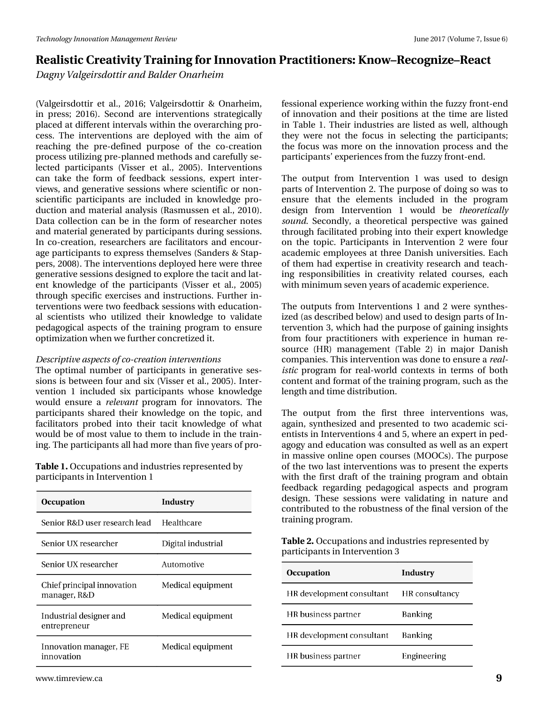*Dagny Valgeirsdottir and Balder Onarheim*

(Valgeirsdottir et al., 2016; Valgeirsdottir & Onarheim, in press; 2016). Second are interventions strategically placed at different intervals within the overarching process. The interventions are deployed with the aim of reaching the pre-defined purpose of the co-creation process utilizing pre-planned methods and carefully selected participants (Visser et al., 2005). Interventions can take the form of feedback sessions, expert interviews, and generative sessions where scientific or nonscientific participants are included in knowledge production and material analysis (Rasmussen et al., 2010). Data collection can be in the form of researcher notes and material generated by participants during sessions. In co-creation, researchers are facilitators and encourage participants to express themselves (Sanders & Stappers, 2008). The interventions deployed here were three generative sessions designed to explore the tacit and latent knowledge of the participants (Visser et al., 2005) through specific exercises and instructions. Further interventions were two feedback sessions with educational scientists who utilized their knowledge to validate pedagogical aspects of the training program to ensure optimization when we further concretized it.

#### *Descriptive aspects of co-creation interventions*

The optimal number of participants in generative sessions is between four and six (Visser et al., 2005). Intervention 1 included six participants whose knowledge would ensure a *relevant* program for innovators. The participants shared their knowledge on the topic, and facilitators probed into their tacit knowledge of what would be of most value to them to include in the training. The participants all had more than five years of pro-

**Table 1.** Occupations and industries represented by participants in Intervention 1

| <b>Occupation</b>                          | Industry           |
|--------------------------------------------|--------------------|
| Senior R&D user research lead              | Healthcare         |
| Senior UX researcher                       | Digital industrial |
| Senior UX researcher                       | Automotive         |
| Chief principal innovation<br>manager, R&D | Medical equipment  |
| Industrial designer and<br>entrepreneur    | Medical equipment  |
| Innovation manager, FE<br>innovation       | Medical equipment  |

fessional experience working within the fuzzy front-end of innovation and their positions at the time are listed in Table 1. Their industries are listed as well, although they were not the focus in selecting the participants; the focus was more on the innovation process and the participants' experiences from the fuzzy front-end.

The output from Intervention 1 was used to design parts of Intervention 2. The purpose of doing so was to ensure that the elements included in the program design from Intervention 1 would be *theoretically sound.* Secondly, a theoretical perspective was gained through facilitated probing into their expert knowledge on the topic. Participants in Intervention 2 were four academic employees at three Danish universities. Each of them had expertise in creativity research and teaching responsibilities in creativity related courses, each with minimum seven years of academic experience.

The outputs from Interventions 1 and 2 were synthesized (as described below) and used to design parts of Intervention 3, which had the purpose of gaining insights from four practitioners with experience in human resource (HR) management (Table 2) in major Danish companies. This intervention was done to ensure a *realistic* program for real-world contexts in terms of both content and format of the training program, such as the length and time distribution.

The output from the first three interventions was, again, synthesized and presented to two academic scientists in Interventions 4 and 5, where an expert in pedagogy and education was consulted as well as an expert in massive online open courses (MOOCs). The purpose of the two last interventions was to present the experts with the first draft of the training program and obtain feedback regarding pedagogical aspects and program design. These sessions were validating in nature and contributed to the robustness of the final version of the training program.

**Table 2.** Occupations and industries represented by participants in Intervention 3

| <b>Occupation</b>         | Industry       |
|---------------------------|----------------|
| HR development consultant | HR consultancy |
| HR business partner       | <b>Banking</b> |
| HR development consultant | <b>Banking</b> |
| HR business partner       | Engineering    |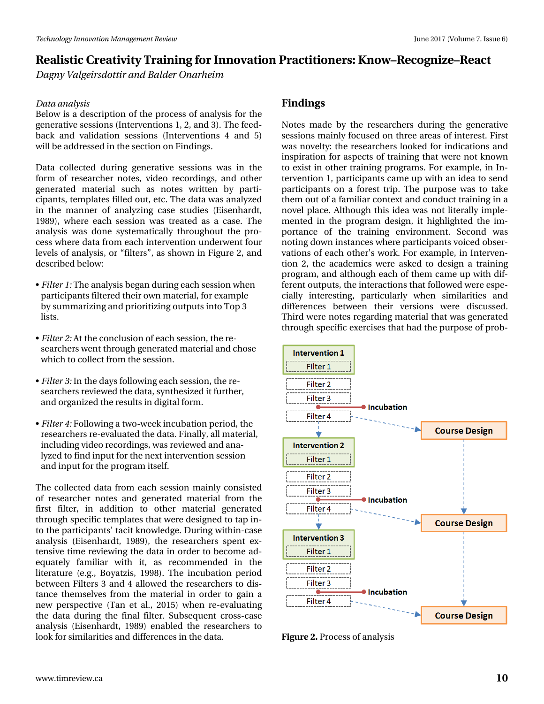*Dagny Valgeirsdottir and Balder Onarheim*

#### *Data analysis*

Below is a description of the process of analysis for the generative sessions (Interventions 1, 2, and 3). The feedback and validation sessions (Interventions 4 and 5) will be addressed in the section on Findings.

Data collected during generative sessions was in the form of researcher notes, video recordings, and other generated material such as notes written by participants, templates filled out, etc. The data was analyzed in the manner of analyzing case studies (Eisenhardt, 1989), where each session was treated as a case. The analysis was done systematically throughout the process where data from each intervention underwent four levels of analysis, or "filters", as shown in Figure 2, and described below:

- *Filter 1:* The analysis began during each session when participants filtered their own material, for example by summarizing and prioritizing outputs into Top 3 lists.
- *Filter 2:* At the conclusion of each session, the researchers went through generated material and chose which to collect from the session.
- *Filter 3:* In the days following each session, the researchers reviewed the data, synthesized it further, and organized the results in digital form.
- *Filter 4:* Following a two-week incubation period, the researchers re-evaluated the data. Finally, all material, including video recordings, was reviewed and analyzed to find input for the next intervention session and input for the program itself.

The collected data from each session mainly consisted of researcher notes and generated material from the first filter, in addition to other material generated through specific templates that were designed to tap into the participants' tacit knowledge. During within-case analysis (Eisenhardt, 1989), the researchers spent extensive time reviewing the data in order to become adequately familiar with it, as recommended in the literature (e.g., Boyatzis, 1998). The incubation period between Filters 3 and 4 allowed the researchers to distance themselves from the material in order to gain a new perspective (Tan et al., 2015) when re-evaluating the data during the final filter. Subsequent cross-case analysis (Eisenhardt, 1989) enabled the researchers to look for similarities and differences in the data.

## **Findings**

Notes made by the researchers during the generative sessions mainly focused on three areas of interest. First was novelty: the researchers looked for indications and inspiration for aspects of training that were not known to exist in other training programs. For example, in Intervention 1, participants came up with an idea to send participants on a forest trip. The purpose was to take them out of a familiar context and conduct training in a novel place. Although this idea was not literally implemented in the program design, it highlighted the importance of the training environment. Second was noting down instances where participants voiced observations of each other's work. For example, in Intervention 2, the academics were asked to design a training program, and although each of them came up with different outputs, the interactions that followed were especially interesting, particularly when similarities and differences between their versions were discussed. Third were notes regarding material that was generated through specific exercises that had the purpose of prob-



**Figure 2.** Process of analysis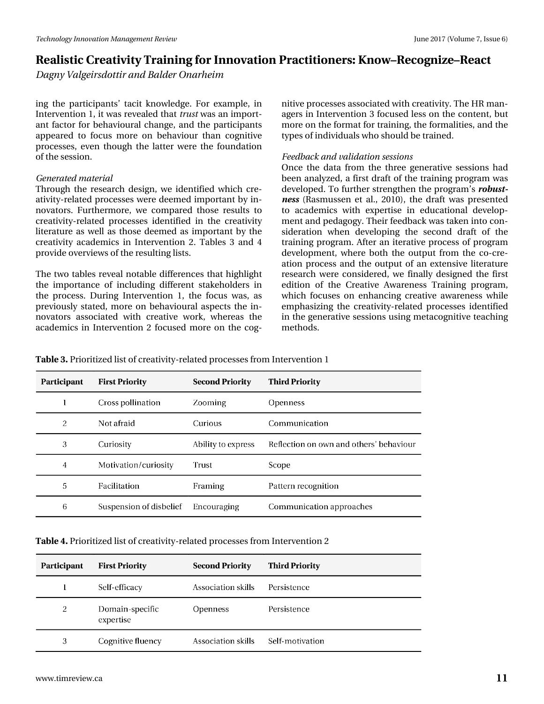*Dagny Valgeirsdottir and Balder Onarheim*

ing the participants' tacit knowledge. For example, in Intervention 1, it was revealed that *trust* was an important factor for behavioural change, and the participants appeared to focus more on behaviour than cognitive processes, even though the latter were the foundation of the session.

#### *Generated material*

Through the research design, we identified which creativity-related processes were deemed important by innovators. Furthermore, we compared those results to creativity-related processes identified in the creativity literature as well as those deemed as important by the creativity academics in Intervention 2. Tables 3 and 4 provide overviews of the resulting lists.

The two tables reveal notable differences that highlight the importance of including different stakeholders in the process. During Intervention 1, the focus was, as previously stated, more on behavioural aspects the innovators associated with creative work, whereas the academics in Intervention 2 focused more on the cog-

nitive processes associated with creativity. The HR managers in Intervention 3 focused less on the content, but more on the format for training, the formalities, and the types of individuals who should be trained.

#### *Feedback and validation sessions*

Once the data from the three generative sessions had been analyzed, a first draft of the training program was developed. To further strengthen the program's *robustness* (Rasmussen et al., 2010), the draft was presented to academics with expertise in educational development and pedagogy. Their feedback was taken into consideration when developing the second draft of the training program. After an iterative process of program development, where both the output from the co-creation process and the output of an extensive literature research were considered, we finally designed the first edition of the Creative Awareness Training program, which focuses on enhancing creative awareness while emphasizing the creativity-related processes identified in the generative sessions using metacognitive teaching methods.

**Table 3.** Prioritized list of creativity-related processes from Intervention 1

| Participant    | <b>First Priority</b>   | <b>Second Priority</b> | <b>Third Priority</b>                   |
|----------------|-------------------------|------------------------|-----------------------------------------|
|                | Cross pollination       | Zooming                | <b>Openness</b>                         |
| 2              | Not afraid              | Curious                | Communication                           |
| 3              | Curiosity               | Ability to express     | Reflection on own and others' behaviour |
| $\overline{4}$ | Motivation/curiosity    | Trust                  | Scope                                   |
| 5              | <b>Facilitation</b>     | Framing                | Pattern recognition                     |
| 6              | Suspension of disbelief | Encouraging            | Communication approaches                |

| Participant | <b>First Priority</b>        | <b>Second Priority</b> | <b>Third Priority</b> |
|-------------|------------------------------|------------------------|-----------------------|
|             | Self-efficacy                | Association skills     | Persistence           |
| 2           | Domain-specific<br>expertise | <b>Openness</b>        | Persistence           |
| 3           | Cognitive fluency            | Association skills     | Self-motivation       |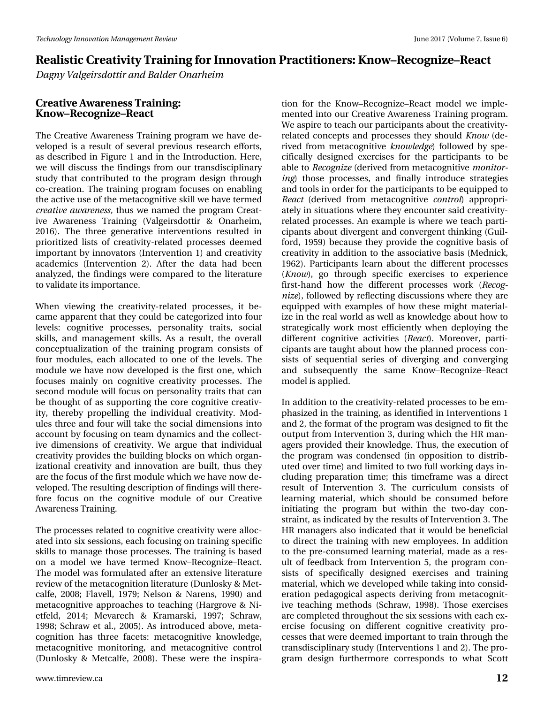*Dagny Valgeirsdottir and Balder Onarheim*

#### **Creative Awareness Training: Know–Recognize–React**

The Creative Awareness Training program we have developed is a result of several previous research efforts, as described in Figure 1 and in the Introduction. Here, we will discuss the findings from our transdisciplinary study that contributed to the program design through co-creation. The training program focuses on enabling the active use of the metacognitive skill we have termed *creative awareness,* thus we named the program Creative Awareness Training (Valgeirsdottir & Onarheim, 2016). The three generative interventions resulted in prioritized lists of creativity-related processes deemed important by innovators (Intervention 1) and creativity academics (Intervention 2). After the data had been analyzed, the findings were compared to the literature to validate its importance.

When viewing the creativity-related processes, it became apparent that they could be categorized into four levels: cognitive processes, personality traits, social skills, and management skills. As a result, the overall conceptualization of the training program consists of four modules, each allocated to one of the levels. The module we have now developed is the first one, which focuses mainly on cognitive creativity processes. The second module will focus on personality traits that can be thought of as supporting the core cognitive creativity, thereby propelling the individual creativity. Modules three and four will take the social dimensions into account by focusing on team dynamics and the collective dimensions of creativity. We argue that individual creativity provides the building blocks on which organizational creativity and innovation are built, thus they are the focus of the first module which we have now developed. The resulting description of findings will therefore focus on the cognitive module of our Creative Awareness Training.

The processes related to cognitive creativity were allocated into six sessions, each focusing on training specific skills to manage those processes. The training is based on a model we have termed Know–Recognize–React. The model was formulated after an extensive literature review of the metacognition literature (Dunlosky & Metcalfe, 2008; Flavell, 1979; Nelson & Narens, 1990) and metacognitive approaches to teaching (Hargrove & Nietfeld, 2014; Mevarech & Kramarski, 1997; Schraw, 1998; Schraw et al., 2005). As introduced above, metacognition has three facets: metacognitive knowledge, metacognitive monitoring, and metacognitive control (Dunlosky & Metcalfe, 2008). These were the inspira-

tion for the Know–Recognize–React model we implemented into our Creative Awareness Training program. We aspire to teach our participants about the creativityrelated concepts and processes they should *Know* (derived from metacognitive *knowledge*) followed by specifically designed exercises for the participants to be able to *Recognize* (derived from metacognitive *monitoring*) those processes, and finally introduce strategies and tools in order for the participants to be equipped to *React* (derived from metacognitive *control*) appropriately in situations where they encounter said creativityrelated processes. An example is where we teach participants about divergent and convergent thinking (Guilford, 1959) because they provide the cognitive basis of creativity in addition to the associative basis (Mednick, 1962). Participants learn about the different processes (*Know*), go through specific exercises to experience first-hand how the different processes work (*Recognize*), followed by reflecting discussions where they are equipped with examples of how these might materialize in the real world as well as knowledge about how to strategically work most efficiently when deploying the different cognitive activities (*React*). Moreover, participants are taught about how the planned process consists of sequential series of diverging and converging and subsequently the same Know–Recognize–React model is applied.

In addition to the creativity-related processes to be emphasized in the training, as identified in Interventions 1 and 2, the format of the program was designed to fit the output from Intervention 3, during which the HR managers provided their knowledge. Thus, the execution of the program was condensed (in opposition to distributed over time) and limited to two full working days including preparation time; this timeframe was a direct result of Intervention 3. The curriculum consists of learning material, which should be consumed before initiating the program but within the two-day constraint, as indicated by the results of Intervention 3. The HR managers also indicated that it would be beneficial to direct the training with new employees. In addition to the pre-consumed learning material, made as a result of feedback from Intervention 5, the program consists of specifically designed exercises and training material, which we developed while taking into consideration pedagogical aspects deriving from metacognitive teaching methods (Schraw, 1998). Those exercises are completed throughout the six sessions with each exercise focusing on different cognitive creativity processes that were deemed important to train through the transdisciplinary study (Interventions 1 and 2). The program design furthermore corresponds to what Scott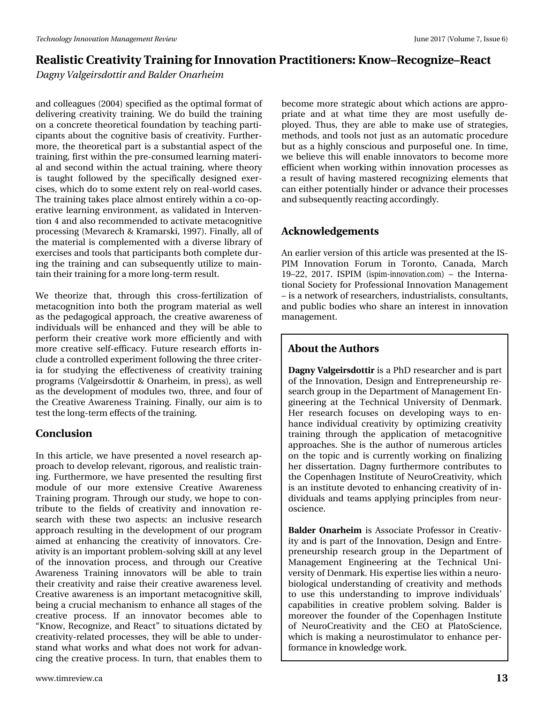# Uhdd wwf#Fuhdwlylw| #Wudlqlqj#ru#Lqqr ydwlr q#Sudf wlwlr qhuv=#Nqr z ' Uhf r j ql} h' Uhdf w Gdj q| #Ydoj hluvgr wlu#dqg#Edoghu#Rqdukhlp

 $d$ qg#f r oohdj xhv#+5337,#vshf lilhg#dv#wkh#r swlp do#ir up dw#r i# gholyhulqj #f uhdwlylw| #wudlqlqj 1#Z h#gr #exlog#wkh#wudlqlqj # r q#d#f r qf uhwh#wkhr uhwlf do#ir xqgdwlr q#e| #whdf klqj #sduwl0 f lsdqw#der xw#wkh#f r j qlwlyh#edvlv#r i#f uhdwlylw| 1#I xuwkhu0 p r uh/#wkh#wkhr uhwlf do#sduw#lv#d#vxevwdqwldo#dvshf w#r i#wkh# wudlqlqj/#lluww# lwklq#wkh#suh0fr qvxp hg#bhduqlqj#p dwhul0 do#dqg#vhf r qg#z lwklq#wkh#df wxdo#wudlqlqj/#z khuh#wkhr u| # lv#wdxjkw#ir oor z hg#e|#wkh#vshflilfdool#ghvljqhg#h{hu0 f lvhv/#z klf k#gr #wr #vr p h#h{ whqw#uho| #r q#uhdo0z r uog#f dvhv# Wkh#wudlqlqj#wdnhv#sodfh#dop r vw#hqwluho| #z lwklq#d#f r 0r s0 hudwlyh#dhduqlqj#hqylur qp hqw/#dv#yddgdwhg#lq#Lqwhuyhq0 wir q#7#dqg#dovr #uhf r p p hqghg#wr #df wlydwh#p hwdf r j qlwlyh# sur f hwlgi #HP hyduh fk#) #Nudp duvnl/#4<<:, #I lqdool/#doo#ri# wkh#p dwhuldo#lv#f r p sohp hqwhg#z lwk#d#glyhuvh#deudu| #r i# h{huf lvhv#dqg#wrrov#wkdw#sduwlf lsdqwv#erwk#frpsdnwh#gxu0 lqj #wkh#wudlqlqj #dqg#f dq#vxevht xhqwo| #xwlol}h#wr #p dlq0 wdlq#wkhlu#wudlqlqj#ir u#d#p r uh#or qj 0whup #uhvxow1#

 $Z$  h#wkhr ul}h#wkdw/#wkur xj k#wklv#fur vv0ihuwlol}dwlr q#ri# p hwdf r j qlwlr q#lqwr #er wk#wkh#sur j udp #p dwhuldo#dv#z hoo# dv#wkh#shgdj r j lf do#dssur df k/#wkh#f uhdwlyh#dz duhqhvv#r i# lqglylgxdov#z loo#eh#hqkdqf hg#dqg#wkh| #z loo#eh#deoh#wr # shuir up  $\#$ wkhlu#f uhdwlyh#z r un#p r uh#hiilf lhqwo #dqg#z lwk# p r uh#f uhdwlyh#vhoi0hiilf df | 1#I xwxuh#uhvhduf k#hiir uwv#lq0 foxgh#d#frqwuroohg#h{shulp hqw#roorzlqj#wkh#wkuhh#fulwhu0 ld#ir u#vwxg| lqj #wkh#hiihf wlyhqhvv#r i#f uhdwlylw| #wudlqlqj # sur judp v#+Ydoj hluvgr wlw#) #Rqdukhlp /#lq#suhvv,/#dv#z hoo# dv#wkh#ghyhor sp hqw#r i#p r gxohv#wz r /#wkuhh/#dqg#ir xu#r i# wkh#Fuhdwlyh#Dz duhqhvv#Wudlqlqj 1# lqdoo| /#r xu#dlp #lv#wr # whvw#wkh#or qj 0whup #hiihf wv#r i#wkh#wudlqlqj 1

## Fr qf ox vlr q

Lq#wklv#duwlf oh/#z h#kdyh#suhvhqwhg#d#qr yho#uhvhduf k#ds0 sur df k#wr#ghyhor s#uhohydqw/#ulj r ur xv/#dqg#uhdolvwlf #wudlq0 lqj 1#I xuwkhup r uh/#z h#kdyh#suhvhqwhg#wkh#uhvxowlqj #iluvw# p r gxoh#r i#r xu#p r uh#h{ whqvlyh# Fuhdwlyh# Dz duhqhvv# Wudlqlqj#surjudp 1#Wkurxjk#rxu#wxg|/#z h#krsh#wr#frq0 wulexwh#wr#wkh#ilhogv#ri#fuhdwlylw| #dqg#lqqr ydwlr q#uh0 vhduf k#z lwk#wkhvh#wz r #dvshf wv=#dq#lqf oxvlyh#uhvhduf k# dssur df k#uhvxowlqj#lq#wkh#ghyhor sp hqw#r i#r xu#sur judp # dlp hg#dw#hqkdqflqj#wkh#fuhdwlylw| #ri#lqqr ydwr uv1#Fuh0 dwlylw| #lv#dq#lp sr uwdqw#sur eohp 0vr oylqj #vnloo#dw#dq| #ohyho# r i#wkh#lqqr ydwlr q#sur f hw/#dqg#wkur xj k#r xu#Fuhdwlyh# Dz duhqhvv#Wudlqlqj #lqqr ydwr w#z loo#eh#deoh#wr #wudlq# wkhlu#f uhdwlylw| #dqg#udlvh#wkhlu#f uhdwlyh#dz duhqhvv#dnyho# Fuhdwlyh#dz duhqhw#lv#dq#p sr uwdqw#p hwdfrjqlwlyh#vnloof# ehlqj#d#f uxfldo#p hf kdqlvp #wr#hqkdqf h#doo#vwdjhv#ri#wkh# f uhdwlyh#sur f hw#Li#dq#lqqr ydwr u#ehf r p hv#deoh# wr # ‹Nqr z /#Uhf r j ql}h/#dqg#Uhdf w™#wr #vlwxdwlr qv#glf wdwhg#e| # f uhdwlylw| 0uhodwhg#sur f hvvhv/#wkh| #z loo#eh#deoh#wr #xqghu0 vwdqg#z kdw#z r unv#dqg#z kdw#gr hv#qr w#z r un#ir u#dgydq0 f lqj #wkh#f uhdwlyh#sur f hvv1#Lq#wxuq/#wkdw#hqdednv#wkhp #wr #

ehf r p h#p r uh#wudwhj lf #der xw#z klf k#df wlr qv#duh#dssur 0 suldwh#dqg#dw#z kdw#wlp h#wkh| #duh#p r ww#xvhixoo| #gh0 sor | hg1#Wkxv/#wkh| #duh#deoh#wr #p dnh#xvh#r i#vwudwhj lhv/# p hwkr gv/#dqg#wr r ov#qr w#mxvw#dv#dq#dxwr p dwlf #sur f hgxuh# exw#dv#d#kljko| #fr qvf lr xv#dqg#sxusr vhixo#r qh1#Lq#wlp h/# z h#ehdhyh#wklv#z loo#hqdedn#lqqrydwr uv#wr#ehfrph#pruh# hiilf lhqw tkhq tt r unlqj tt lwklq#lqqr ydwir q ts ur f hwh v # dv # d#uhvxow#r i#kdylqj #p dvwhuhg#uhf r j ql}lqj #hohp hqwv#wkdw# f dq#hlwkhu#sr whqwldoo| #klqghu#r u#dgydqf h#wkhlu#sur f hvvhv# dqg#vxevht xhqwo| #uhdf wlqj #df f r uglqj o| 1

# Df ngr z dhgi hp hqw $#$

Dq#hduolhu#yhuvlr q#r i#wklv#duwlf oh#z dv#suhvhqwhg#dw#wkh#LV0 SLP #Lqqr ydw'r q#l r uxp #lq#Wr ur qwr /#Fdqdgd/#P duf k# 4<' 55/#534: "#LVSLP [#+lvslp](http://ispim-innovation.com) 0lqqrydwlrqffrp,#' #wkh#Lqwhuqd0 wir qdo#Vr f lhw| #ir u#Sur ihvvlr qdo#Lqqr ydwlr q#P dqdj hp hqw# ' #v#d#qhwz r un#r i#uhvhduf khuv/#qgxvwuldolvwv/#f r qvxowdqwv/# dqg#sxedf#er glhv#z kr#vkduh#dq#lqwhuhvw#lq#lqqrydwlrq# p dqdj hp hqw1

## Der xw#wkh#Dxwk ruv

Gdj q | #Ydg hluvgr www.#v#J#SkG#uhvhduf khu#Jqg#v#sduw# r i#wkh#Lqqr ydwlr q/#Ghvlj q#dqg#Hqwuhsuhqhxuvkls#uh0 vhduf k#j ur x s#q#wkh#Ghsduwp hqw#r i#P dqdj hp hqw#Hq0 j lqhhulqj #dw#wkh#Whf kqlf do#Xqlyhuvlw| #r i#Ghqp dun1# Khu#uhvhduf k#ir f x vhv#r q#ghyhor slqj #z d| v#wr #hq0 kdqf h#lqglylgxdo#f uhdwlylw| #e| #r swlp l}lqj #f uhdwlylw| # wudlqlqj#wkur xjk#wkh#dssolfdwlrq#ri#p hwdfrjqlwlyh# dssur df khv1#Vkh#lv#wkh#dxwkr u#r i#qxp hur xv#duwlf ohv# r q#wkh#wr slf#dqg#lv#fxuuhqwo| #z r unlqj #r q#ilqdol}lqj # khu#glwhuwdwlr q1#Gdjq  $\#$ xuwkhup ruh#frqwulexwhv#wr# wkh#Fr shqkdjhq#Lqvwlwxwh#ri#Qhxur Fuhdwlylw| /#z klf k# lv#dq#lqvwlwxwh#ghyrwhg#wr#hqkdqflqj#f uhdwlylw| #r i#lq0 glylgxdov#dqg#whdp v#dsso| lqj#sulqf lsohv#iur p#qhxu0 r vf lhqf h1

Edoghu#Rqdukhlp #lv#Dvvr fldwh#Sur ihvvr u#lq#Fuhdwly0 lw| #dqg#lv#sduw#r i#wkh#Lqqr ydwlr q/#Ghvlj q#dqg#Hqwuh0 suhqhxuvkls#uhvhduf k#j ur xs#lq#wkh#Ghsduwp hqw#r i# P dqdj hp hqw# Hqj lqhhulqj #dw# wkh# Whf kqlf do# Xql0 yhuvlw| #i#Ghqp dun1#Klv#h{ shuwlvh#bhv#z lwklq#d#qhxur 0 elr  $\sigma$  j if do#xqghuvwdqqlqj #r i#f uhdwlylw| #dqg#p hwkr gv# wr #xvh#wklv#xqghuvwdqglqj #wr #lp sur yh#lqglylgxdov\*# f dsdelolwihv#lq#f uhdwlyh#sur eohp #vr oylqj 1#Edoghu#lv# p r uhr yhu#wkh#ir xqghu#r i#wkh#Fr shqkdjhq#Lqvwlwxwh# r i#Qhxur Fuhdwlylw| #dqg#wkh#FHR#dw#Sodwr Vf lhqf h/# z klf k#lv#p dnlqj #d#qhxur vwlp xodwr u#wr #hqkdqf h#shu0 ir up dqf h#lq#nqr z ohgj h#z r un1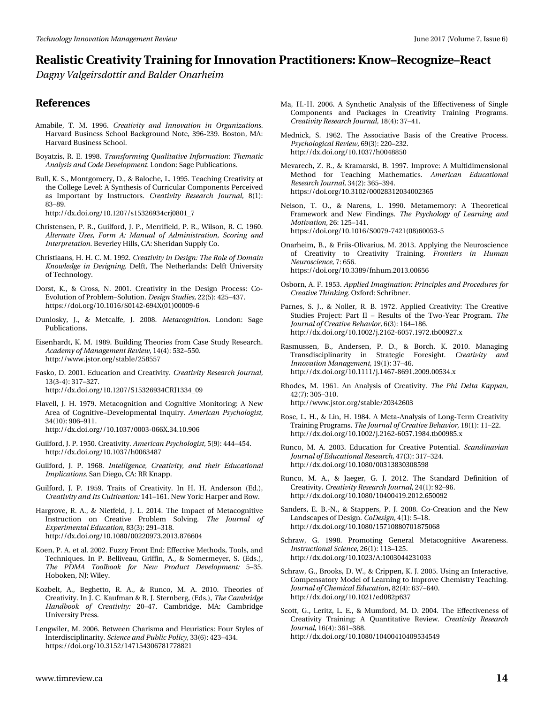*Dagny Valgeirsdottir and Balder Onarheim*

#### **References**

- Amabile, T. M. 1996. *Creativity and Innovation in Organizations.* Harvard Business School Background Note, 396-239. Boston, MA: Harvard Business School.
- Boyatzis, R. E. 1998. *Transforming Qualitative Information: Thematic Analysis and Code Development.* London: Sage Publications.
- Bull, K. S., Montgomery, D., & Baloche, L. 1995. Teaching Creativity at the College Level: A Synthesis of Curricular Components Perceived as Important by Instructors. *Creativity Research Journal,* 8(1): 83–89.

http://dx.doi.org/10.1207/s15326934crj0801\_7

- Christensen, P. R., Guilford, J. P., Merrifield, P. R., Wilson, R. C. 1960. *Alternate Uses, Form A: Manual of Administration, Scoring and Interpretation.* Beverley Hills, CA: Sheridan Supply Co.
- Christiaans, H. H. C. M. 1992. *Creativity in Design: The Role of Domain Knowledge in Designing.* Delft, The Netherlands: Delft University of Technology.
- Dorst, K., & Cross, N. 2001. Creativity in the Design Process: Co-Evolution of Problem–Solution. *Design Studies,* 22(5): 425–437. https://doi.org/10.1016/S0142-694X(01)00009-6
- Dunlosky, J., & Metcalfe, J. 2008. *Metacognition.* London: Sage Publications.
- Eisenhardt, K. M. 1989. Building Theories from Case Study Research. *Academy of Management Review,* 14(4): 532–550. http://www.jstor.org/stable/258557
- Fasko, D. 2001. Education and Creativity. *Creativity Research Journal,* 13(3-4): 317–327. http://dx.doi.org/10.1207/S15326934CRJ1334\_09
- Flavell, J. H. 1979. Metacognition and Cognitive Monitoring: A New Area of Cognitive–Developmental Inquiry. *American Psychologist,* 34(10): 906–911. http://dx.doi.org//10.1037/0003-066X.34.10.906
- Guilford, J. P. 1950. Creativity. *American Psychologist,* 5(9): 444–454. http://dx.doi.org/10.1037/h0063487
- Guilford, J. P. 1968. *Intelligence, Creativity, and their Educational Implications.* San Diego, CA: RR Knapp.
- Guilford, J. P. 1959. Traits of Creativity. In H. H. Anderson (Ed.), *Creativity and Its Cultivation:* 141–161. New York: Harper and Row.
- Hargrove, R. A., & Nietfeld, J. L. 2014. The Impact of Metacognitive Instruction on Creative Problem Solving. *The Journal of Experimental Education,* 83(3): 291–318. http://dx.doi.org/10.1080/00220973.2013.876604
- Koen, P. A. et al. 2002. Fuzzy Front End: Effective Methods, Tools, and Techniques. In P. Belliveau, Griffin, A., & Somermeyer, S. (Eds.), *The PDMA Toolbook for New Product Development:* 5–35. Hoboken, NJ: Wiley.
- Kozbelt, A., Beghetto, R. A., & Runco, M. A. 2010. Theories of Creativity. In J. C. Kaufman & R. J. Sternberg, (Eds.), *The Cambridge Handbook of Creativity:* 20–47. Cambridge, MA: Cambridge University Press.
- Lengwiler, M. 2006. Between Charisma and Heuristics: Four Styles of Interdisciplinarity. *Science and Public Policy,* 33(6): 423–434. https://doi.org/10.3152/147154306781778821
- Ma, H.-H. 2006. A Synthetic Analysis of the Effectiveness of Single Components and Packages in Creativity Training Programs. *Creativity Research Journal,* 18(4): 37–41.
- Mednick, S. 1962. The Associative Basis of the Creative Process. *Psychological Review,* 69(3): 220–232. http://dx.doi.org/10.1037/h0048850
- Mevarech, Z. R., & Kramarski, B. 1997. Improve: A Multidimensional Method for Teaching Mathematics. *American Educational Research Journal,* 34(2): 365–394. https://doi.org/10.3102/00028312034002365
- Nelson, T. O., & Narens, L. 1990. Metamemory: A Theoretical Framework and New Findings. *The Psychology of Learning and Motivation,* 26: 125–141. https://doi.org/10.1016/S0079-7421(08)60053-5
- Onarheim, B., & Friis-Olivarius, M. 2013. Applying the Neuroscience of Creativity to Creativity Training. *Frontiers in Human Neuroscience,* 7: 656. https://doi.org/10.3389/fnhum.2013.00656
- Osborn, A. F. 1953. *Applied Imagination: Principles and Procedures for Creative Thinking.* Oxford: Schribner.
- Parnes, S. J., & Noller, R. B. 1972. Applied Creativity: The Creative Studies Project: Part II – Results of the Two-Year Program. *The Journal of Creative Behavior,* 6(3): 164–186. http://dx.doi.org/10.1002/j.2162-6057.1972.tb00927.x
- Rasmussen, B., Andersen, P. D., & Borch, K. 2010. Managing Transdisciplinarity in Strategic Foresight. *Creativity and Innovation Management,* 19(1): 37–46. http://dx.doi.org/10.1111/j.1467-8691.2009.00534.x
- Rhodes, M. 1961. An Analysis of Creativity. *The Phi Delta Kappan,* 42(7): 305–310. http://www.jstor.org/stable/20342603
- Rose, L. H., & Lin, H. 1984. A Meta-Analysis of Long-Term Creativity Training Programs. *The Journal of Creative Behavior,* 18(1): 11–22. http://dx.doi.org/10.1002/j.2162-6057.1984.tb00985.x
- Runco, M. A. 2003. Education for Creative Potential. *Scandinavian Journal of Educational Research,* 47(3): 317–324. http://dx.doi.org/10.1080/00313830308598
- Runco, M. A., & Jaeger, G. J. 2012. The Standard Definition of Creativity. *Creativity Research Journal,* 24(1): 92–96. http://dx.doi.org/10.1080/10400419.2012.650092
- Sanders, E. B.-N., & Stappers, P. J. 2008. Co-Creation and the New Landscapes of Design. *CoDesign,* 4(1): 5–18. http://dx.doi.org/10.1080/15710880701875068
- Schraw, G. 1998. Promoting General Metacognitive Awareness. *Instructional Science,* 26(1): 113–125. http://dx.doi.org/10.1023/A:1003044231033
- Schraw, G., Brooks, D. W., & Crippen, K. J. 2005. Using an Interactive, Compensatory Model of Learning to Improve Chemistry Teaching. *Journal of Chemical Education,* 82(4): 637–640. http://dx.doi.org/10.1021/ed082p637
- Scott, G., Leritz, L. E., & Mumford, M. D. 2004. The Effectiveness of Creativity Training: A Quantitative Review. *Creativity Research Journal,* 16(4): 361–388. http://dx.doi.org/10.1080/10400410409534549